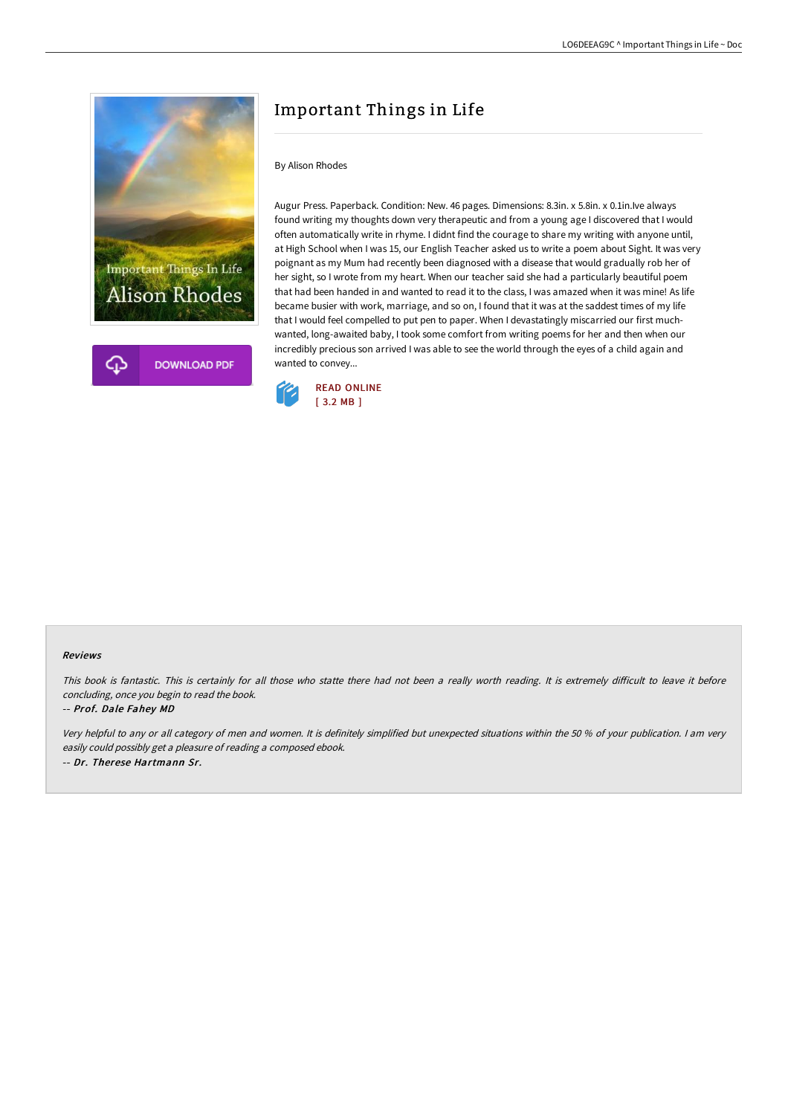

# Important Things in Life

### By Alison Rhodes

Augur Press. Paperback. Condition: New. 46 pages. Dimensions: 8.3in. x 5.8in. x 0.1in.Ive always found writing my thoughts down very therapeutic and from a young age I discovered that I would often automatically write in rhyme. I didnt find the courage to share my writing with anyone until, at High School when I was 15, our English Teacher asked us to write a poem about Sight. It was very poignant as my Mum had recently been diagnosed with a disease that would gradually rob her of her sight, so I wrote from my heart. When our teacher said she had a particularly beautiful poem that had been handed in and wanted to read it to the class, I was amazed when it was mine! As life became busier with work, marriage, and so on, I found that it was at the saddest times of my life that I would feel compelled to put pen to paper. When I devastatingly miscarried our first muchwanted, long-awaited baby, I took some comfort from writing poems for her and then when our incredibly precious son arrived I was able to see the world through the eyes of a child again and wanted to convey...



#### Reviews

This book is fantastic. This is certainly for all those who statte there had not been a really worth reading. It is extremely difficult to leave it before concluding, once you begin to read the book.

#### -- Prof. Dale Fahey MD

Very helpful to any or all category of men and women. It is definitely simplified but unexpected situations within the <sup>50</sup> % of your publication. <sup>I</sup> am very easily could possibly get <sup>a</sup> pleasure of reading <sup>a</sup> composed ebook. -- Dr. Therese Hartmann Sr.